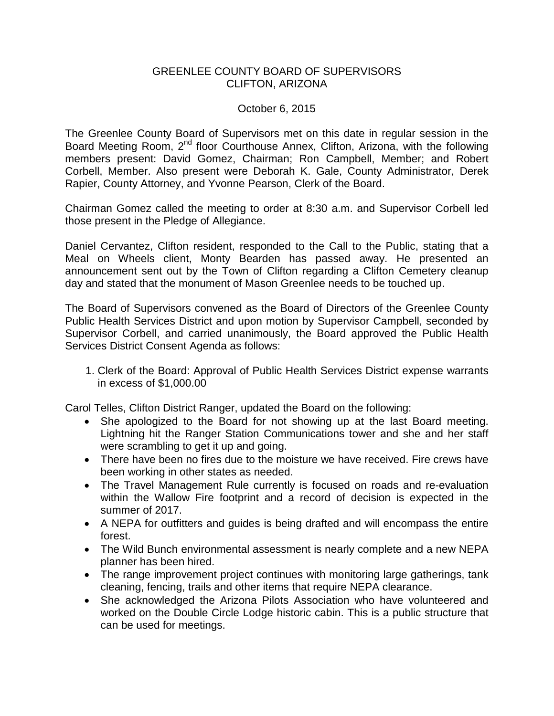## GREENLEE COUNTY BOARD OF SUPERVISORS CLIFTON, ARIZONA

## October 6, 2015

The Greenlee County Board of Supervisors met on this date in regular session in the Board Meeting Room, 2<sup>nd</sup> floor Courthouse Annex, Clifton, Arizona, with the following members present: David Gomez, Chairman; Ron Campbell, Member; and Robert Corbell, Member. Also present were Deborah K. Gale, County Administrator, Derek Rapier, County Attorney, and Yvonne Pearson, Clerk of the Board.

Chairman Gomez called the meeting to order at 8:30 a.m. and Supervisor Corbell led those present in the Pledge of Allegiance.

Daniel Cervantez, Clifton resident, responded to the Call to the Public, stating that a Meal on Wheels client, Monty Bearden has passed away. He presented an announcement sent out by the Town of Clifton regarding a Clifton Cemetery cleanup day and stated that the monument of Mason Greenlee needs to be touched up.

The Board of Supervisors convened as the Board of Directors of the Greenlee County Public Health Services District and upon motion by Supervisor Campbell, seconded by Supervisor Corbell, and carried unanimously, the Board approved the Public Health Services District Consent Agenda as follows:

1. Clerk of the Board: Approval of Public Health Services District expense warrants in excess of \$1,000.00

Carol Telles, Clifton District Ranger, updated the Board on the following:

- She apologized to the Board for not showing up at the last Board meeting. Lightning hit the Ranger Station Communications tower and she and her staff were scrambling to get it up and going.
- There have been no fires due to the moisture we have received. Fire crews have been working in other states as needed.
- The Travel Management Rule currently is focused on roads and re-evaluation within the Wallow Fire footprint and a record of decision is expected in the summer of 2017.
- A NEPA for outfitters and guides is being drafted and will encompass the entire forest.
- The Wild Bunch environmental assessment is nearly complete and a new NEPA planner has been hired.
- The range improvement project continues with monitoring large gatherings, tank cleaning, fencing, trails and other items that require NEPA clearance.
- She acknowledged the Arizona Pilots Association who have volunteered and worked on the Double Circle Lodge historic cabin. This is a public structure that can be used for meetings.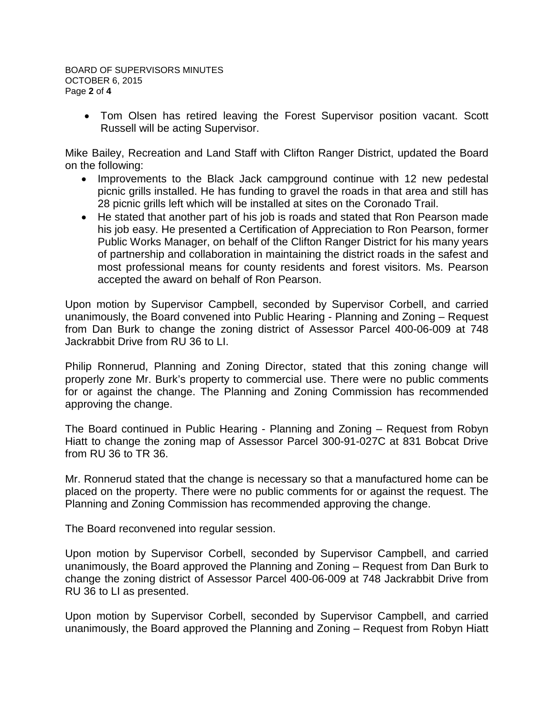• Tom Olsen has retired leaving the Forest Supervisor position vacant. Scott Russell will be acting Supervisor.

Mike Bailey, Recreation and Land Staff with Clifton Ranger District, updated the Board on the following:

- Improvements to the Black Jack campground continue with 12 new pedestal picnic grills installed. He has funding to gravel the roads in that area and still has 28 picnic grills left which will be installed at sites on the Coronado Trail.
- He stated that another part of his job is roads and stated that Ron Pearson made his job easy. He presented a Certification of Appreciation to Ron Pearson, former Public Works Manager, on behalf of the Clifton Ranger District for his many years of partnership and collaboration in maintaining the district roads in the safest and most professional means for county residents and forest visitors. Ms. Pearson accepted the award on behalf of Ron Pearson.

Upon motion by Supervisor Campbell, seconded by Supervisor Corbell, and carried unanimously, the Board convened into Public Hearing - Planning and Zoning – Request from Dan Burk to change the zoning district of Assessor Parcel 400-06-009 at 748 Jackrabbit Drive from RU 36 to LI.

Philip Ronnerud, Planning and Zoning Director, stated that this zoning change will properly zone Mr. Burk's property to commercial use. There were no public comments for or against the change. The Planning and Zoning Commission has recommended approving the change.

The Board continued in Public Hearing - Planning and Zoning – Request from Robyn Hiatt to change the zoning map of Assessor Parcel 300-91-027C at 831 Bobcat Drive from RU 36 to TR 36.

Mr. Ronnerud stated that the change is necessary so that a manufactured home can be placed on the property. There were no public comments for or against the request. The Planning and Zoning Commission has recommended approving the change.

The Board reconvened into regular session.

Upon motion by Supervisor Corbell, seconded by Supervisor Campbell, and carried unanimously, the Board approved the Planning and Zoning – Request from Dan Burk to change the zoning district of Assessor Parcel 400-06-009 at 748 Jackrabbit Drive from RU 36 to LI as presented.

Upon motion by Supervisor Corbell, seconded by Supervisor Campbell, and carried unanimously, the Board approved the Planning and Zoning – Request from Robyn Hiatt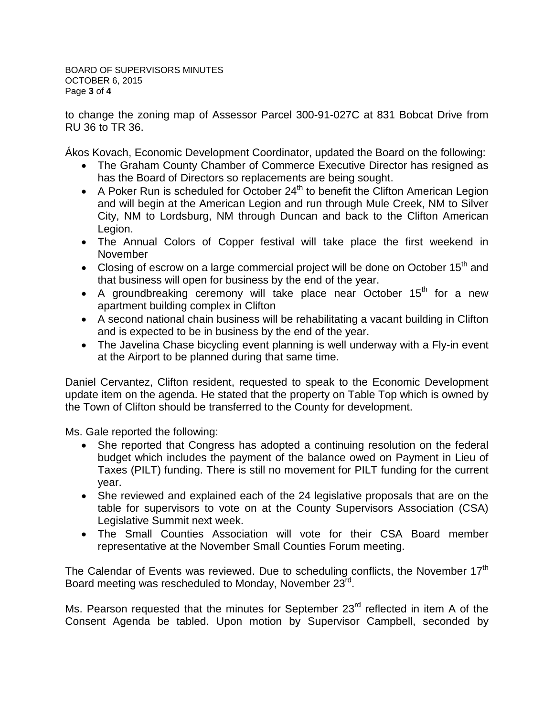BOARD OF SUPERVISORS MINUTES OCTOBER 6, 2015 Page **3** of **4**

to change the zoning map of Assessor Parcel 300-91-027C at 831 Bobcat Drive from RU 36 to TR 36.

Ákos Kovach, Economic Development Coordinator, updated the Board on the following:

- The Graham County Chamber of Commerce Executive Director has resigned as has the Board of Directors so replacements are being sought.
- A Poker Run is scheduled for October  $24<sup>th</sup>$  to benefit the Clifton American Legion and will begin at the American Legion and run through Mule Creek, NM to Silver City, NM to Lordsburg, NM through Duncan and back to the Clifton American Legion.
- The Annual Colors of Copper festival will take place the first weekend in November
- Closing of escrow on a large commercial project will be done on October  $15<sup>th</sup>$  and that business will open for business by the end of the year.
- A groundbreaking ceremony will take place near October 15<sup>th</sup> for a new apartment building complex in Clifton
- A second national chain business will be rehabilitating a vacant building in Clifton and is expected to be in business by the end of the year.
- The Javelina Chase bicycling event planning is well underway with a Fly-in event at the Airport to be planned during that same time.

Daniel Cervantez, Clifton resident, requested to speak to the Economic Development update item on the agenda. He stated that the property on Table Top which is owned by the Town of Clifton should be transferred to the County for development.

Ms. Gale reported the following:

- She reported that Congress has adopted a continuing resolution on the federal budget which includes the payment of the balance owed on Payment in Lieu of Taxes (PILT) funding. There is still no movement for PILT funding for the current year.
- She reviewed and explained each of the 24 legislative proposals that are on the table for supervisors to vote on at the County Supervisors Association (CSA) Legislative Summit next week.
- The Small Counties Association will vote for their CSA Board member representative at the November Small Counties Forum meeting.

The Calendar of Events was reviewed. Due to scheduling conflicts, the November 17<sup>th</sup> Board meeting was rescheduled to Monday, November 23<sup>rd</sup>.

Ms. Pearson requested that the minutes for September 23<sup>rd</sup> reflected in item A of the Consent Agenda be tabled. Upon motion by Supervisor Campbell, seconded by